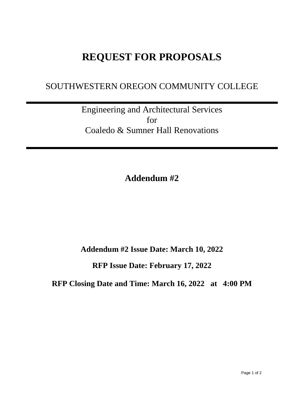## **REQUEST FOR PROPOSALS**

## SOUTHWESTERN OREGON COMMUNITY COLLEGE

Engineering and Architectural Services for Coaledo & Sumner Hall Renovations

**Addendum #2**

**Addendum #2 Issue Date: March 10, 2022**

**RFP Issue Date: February 17, 2022**

**RFP Closing Date and Time: March 16, 2022 at 4:00 PM**